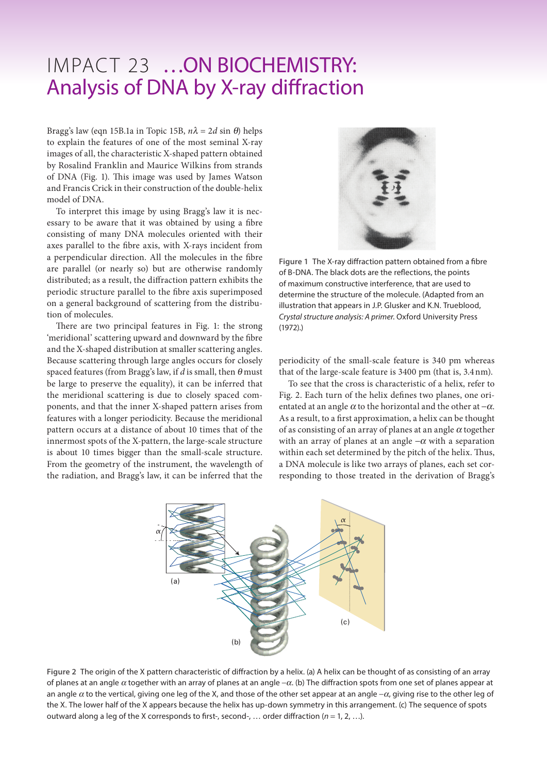## IMPACT 23 …ON BIOCHEMISTRY: Analysis of DNA by X-ray diffraction

Bragg's law (eqn 15B.1a in Topic 15B,  $n\lambda = 2d \sin \theta$ ) helps to explain the features of one of the most seminal X-ray images of all, the characteristic X-shaped pattern obtained by Rosalind Franklin and Maurice Wilkins from strands of DNA (Fig. 1). This image was used by James Watson and Francis Crick in their construction of the double-helix model of DNA.

To interpret this image by using Bragg's law it is necessary to be aware that it was obtained by using a fibre consisting of many DNA molecules oriented with their axes parallel to the fibre axis, with X-rays incident from a perpendicular direction. All the molecules in the fibre are parallel (or nearly so) but are otherwise randomly distributed; as a result, the diffraction pattern exhibits the periodic structure parallel to the fibre axis superimposed on a general background of scattering from the distribution of molecules.

There are two principal features in Fig. 1: the strong 'meridional' scattering upward and downward by the fibre and the X-shaped distribution at smaller scattering angles. Because scattering through large angles occurs for closely spaced features (from Bragg's law, if *d* is small, then θ must be large to preserve the equality), it can be inferred that the meridional scattering is due to closely spaced components, and that the inner X-shaped pattern arises from features with a longer periodicity. Because the meridional pattern occurs at a distance of about 10 times that of the innermost spots of the X-pattern, the large-scale structure is about 10 times bigger than the small-scale structure. From the geometry of the instrument, the wavelength of the radiation, and Bragg's law, it can be inferred that the



**Figure 1** The X-ray diffraction pattern obtained from a fibre of B-DNA. The black dots are the reflections, the points of maximum constructive interference, that are used to determine the structure of the molecule. (Adapted from an illustration that appears in J.P. Glusker and K.N. Trueblood, *Crystal structure analysis: A primer*. Oxford University Press (1972).)

periodicity of the small-scale feature is 340 pm whereas that of the large-scale feature is 3400 pm (that is, 3.4nm).

To see that the cross is characteristic of a helix, refer to Fig. 2. Each turn of the helix defines two planes, one orientated at an angle  $\alpha$  to the horizontal and the other at  $-\alpha$ . As a result, to a first approximation, a helix can be thought of as consisting of an array of planes at an angle  $\alpha$  together with an array of planes at an angle  $-\alpha$  with a separation within each set determined by the pitch of the helix. Thus, a DNA molecule is like two arrays of planes, each set corresponding to those treated in the derivation of Bragg's



**Figure 2** The origin of the X pattern characteristic of diffraction by a helix. (a) A helix can be thought of as consisting of an array of planes at an angle  $\alpha$  together with an array of planes at an angle  $-\alpha$ . (b) The diffraction spots from one set of planes appear at an angle  $\alpha$  to the vertical, giving one leg of the X, and those of the other set appear at an angle  $-\alpha$ , giving rise to the other leg of the X. The lower half of the X appears because the helix has up-down symmetry in this arrangement. (c) The sequence of spots outward along a leg of the X corresponds to first-, second-, … order diffraction (*n* = 1, 2, …).